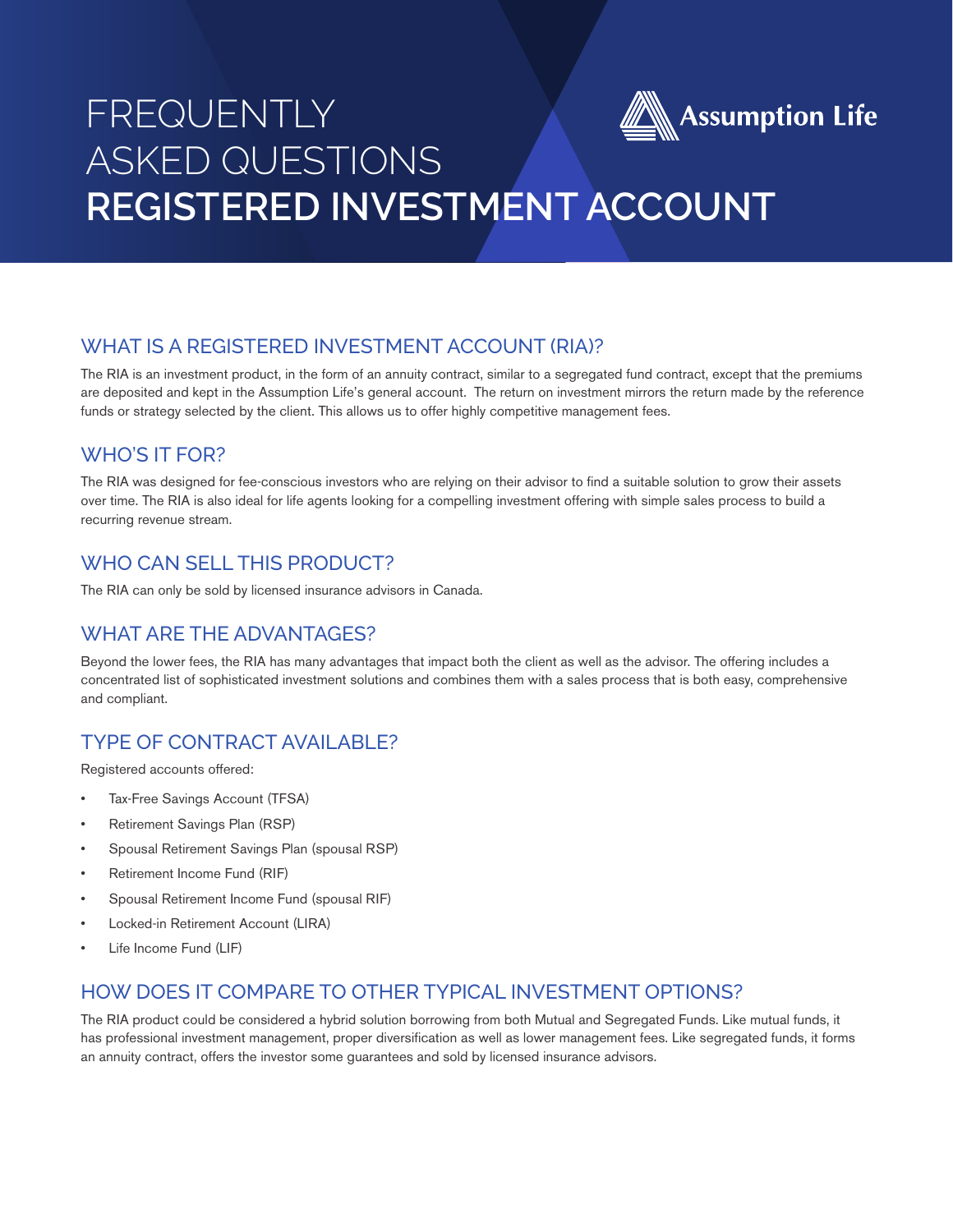# FREQUENTLY **Assumption Life** ASKED QUESTIONS **REGISTERED INVESTMENT ACCOUNT**

# WHAT IS A REGISTERED INVESTMENT ACCOUNT (RIA)?

The RIA is an investment product, in the form of an annuity contract, similar to a segregated fund contract, except that the premiums are deposited and kept in the Assumption Life's general account. The return on investment mirrors the return made by the reference funds or strategy selected by the client. This allows us to offer highly competitive management fees.

# WHO'S IT FOR?

The RIA was designed for fee-conscious investors who are relying on their advisor to find a suitable solution to grow their assets over time. The RIA is also ideal for life agents looking for a compelling investment offering with simple sales process to build a recurring revenue stream.

# WHO CAN SELL THIS PRODUCT?

The RIA can only be sold by licensed insurance advisors in Canada.

# WHAT ARE THE ADVANTAGES?

Beyond the lower fees, the RIA has many advantages that impact both the client as well as the advisor. The offering includes a concentrated list of sophisticated investment solutions and combines them with a sales process that is both easy, comprehensive and compliant.

# TYPE OF CONTRACT AVAILABLE?

Registered accounts offered:

- Tax-Free Savings Account (TFSA)
- Retirement Savings Plan (RSP)
- Spousal Retirement Savings Plan (spousal RSP)
- Retirement Income Fund (RIF)
- Spousal Retirement Income Fund (spousal RIF)
- Locked-in Retirement Account (LIRA)
- Life Income Fund (LIF)

#### HOW DOES IT COMPARE TO OTHER TYPICAL INVESTMENT OPTIONS?

The RIA product could be considered a hybrid solution borrowing from both Mutual and Segregated Funds. Like mutual funds, it has professional investment management, proper diversification as well as lower management fees. Like segregated funds, it forms an annuity contract, offers the investor some guarantees and sold by licensed insurance advisors.